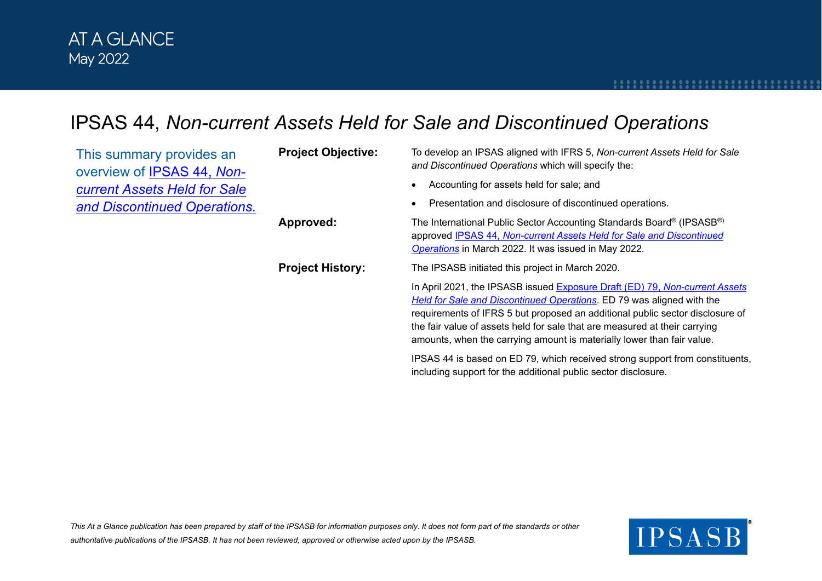# IPSAS 44, *Non-current Assets Held for Sale and Discontinued Operations*

| This summary provides an<br>overview of IPSAS 44, Non-<br><b>current Assets Held for Sale</b><br>and Discontinued Operations. | <b>Project Objective:</b> | To develop an IPSAS aligned with IFRS 5, Non-current Assets Held for Sale<br>and Discontinued Operations which will specify the:                                                                                                                                                                                                                                                              |
|-------------------------------------------------------------------------------------------------------------------------------|---------------------------|-----------------------------------------------------------------------------------------------------------------------------------------------------------------------------------------------------------------------------------------------------------------------------------------------------------------------------------------------------------------------------------------------|
|                                                                                                                               |                           | Accounting for assets held for sale; and                                                                                                                                                                                                                                                                                                                                                      |
|                                                                                                                               |                           | Presentation and disclosure of discontinued operations.                                                                                                                                                                                                                                                                                                                                       |
|                                                                                                                               | Approved:                 | The International Public Sector Accounting Standards Board® (IPSASB®)<br>approved IPSAS 44, Non-current Assets Held for Sale and Discontinued<br>Operations in March 2022. It was issued in May 2022.                                                                                                                                                                                         |
|                                                                                                                               | <b>Project History:</b>   | The IPSASB initiated this project in March 2020.                                                                                                                                                                                                                                                                                                                                              |
|                                                                                                                               |                           | In April 2021, the IPSASB issued Exposure Draft (ED) 79, Non-current Assets<br>Held for Sale and Discontinued Operations. ED 79 was aligned with the<br>requirements of IFRS 5 but proposed an additional public sector disclosure of<br>the fair value of assets held for sale that are measured at their carrying<br>amounts, when the carrying amount is materially lower than fair value. |
|                                                                                                                               |                           | IPSAS 44 is based on ED 79, which received strong support from constituents,<br>including support for the additional public sector disclosure.                                                                                                                                                                                                                                                |

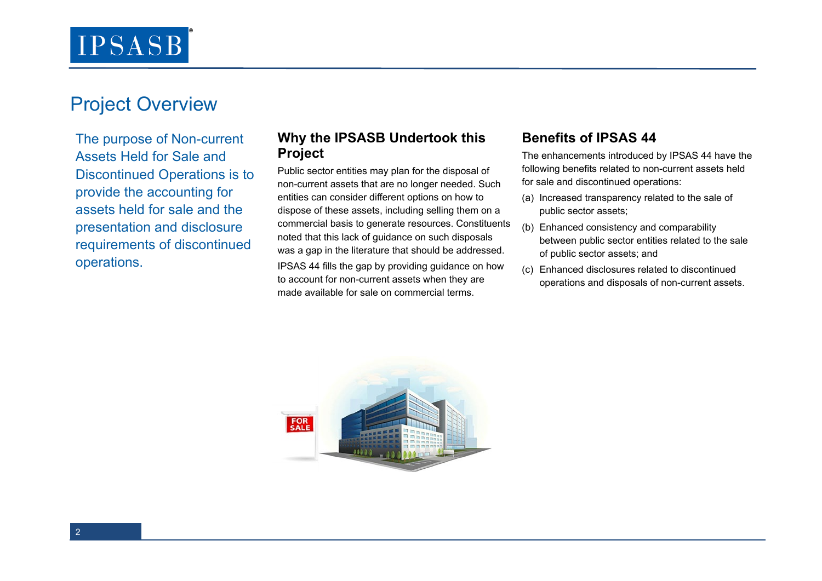# Project Overview

The purpose of Non-current Assets Held for Sale and Discontinued Operations is to provide the accounting for assets held for sale and the presentation and disclosure requirements of discontinued operations.

### **Why the IPSASB Undertook this Project**

Public sector entities may plan for the disposal of non-current assets that are no longer needed. Such entities can consider different options on how to dispose of these assets, including selling them on a commercial basis to generate resources. Constituents noted that this lack of guidance on such disposals was a gap in the literature that should be addressed. IPSAS 44 fills the gap by providing guidance on how to account for non-current assets when they are made available for sale on commercial terms.

## **Benefits of IPSAS 44**

The enhancements introduced by IPSAS 44 have the following benefits related to non-current assets held for sale and discontinued operations:

- (a) Increased transparency related to the sale of public sector assets;
- (b) Enhanced consistency and comparability between public sector entities related to the sale of public sector assets; and
- (c) Enhanced disclosures related to discontinued operations and disposals of non-current assets.

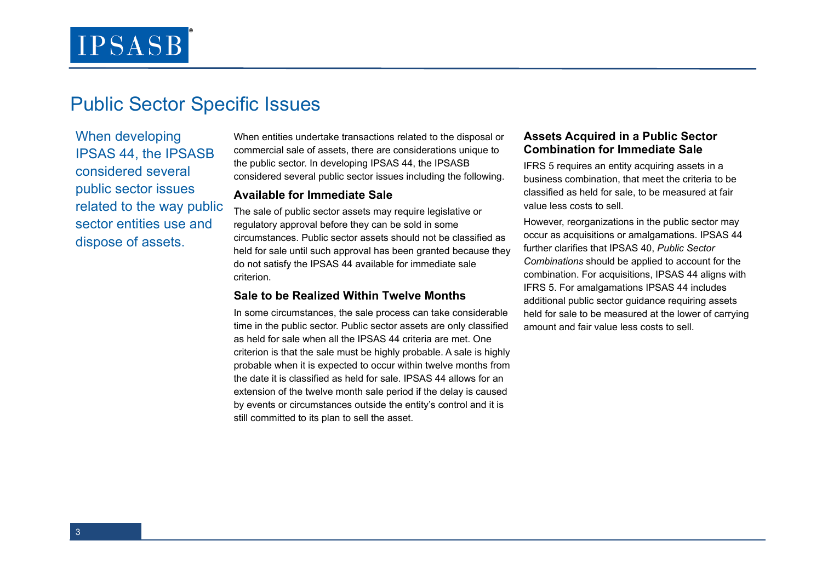# Public Sector Specific Issues

When developing IPSAS 44, the IPSASB considered several public sector issues related to the way public sector entities use and dispose of assets.

When entities undertake transactions related to the disposal or commercial sale of assets, there are considerations unique to the public sector. In developing IPSAS 44, the IPSASB considered several public sector issues including the following.

#### **Available for Immediate Sale**

The sale of public sector assets may require legislative or regulatory approval before they can be sold in some circumstances. Public sector assets should not be classified as held for sale until such approval has been granted because they do not satisfy the IPSAS 44 available for immediate sale criterion.

#### **Sale to be Realized Within Twelve Months**

In some circumstances, the sale process can take considerable time in the public sector. Public sector assets are only classified as held for sale when all the IPSAS 44 criteria are met. One criterion is that the sale must be highly probable. A sale is highly probable when it is expected to occur within twelve months from the date it is classified as held for sale. IPSAS 44 allows for an extension of the twelve month sale period if the delay is caused by events or circumstances outside the entity's control and it is still committed to its plan to sell the asset.

#### **Assets Acquired in a Public Sector Combination for Immediate Sale**

IFRS 5 requires an entity acquiring assets in a business combination, that meet the criteria to be classified as held for sale, to be measured at fair value less costs to sell.

However, reorganizations in the public sector may occur as acquisitions or amalgamations. IPSAS 44 further clarifies that IPSAS 40, *Public Sector Combinations* should be applied to account for the combination. For acquisitions, IPSAS 44 aligns with IFRS 5. For amalgamations IPSAS 44 includes additional public sector guidance requiring assets held for sale to be measured at the lower of carrying amount and fair value less costs to sell.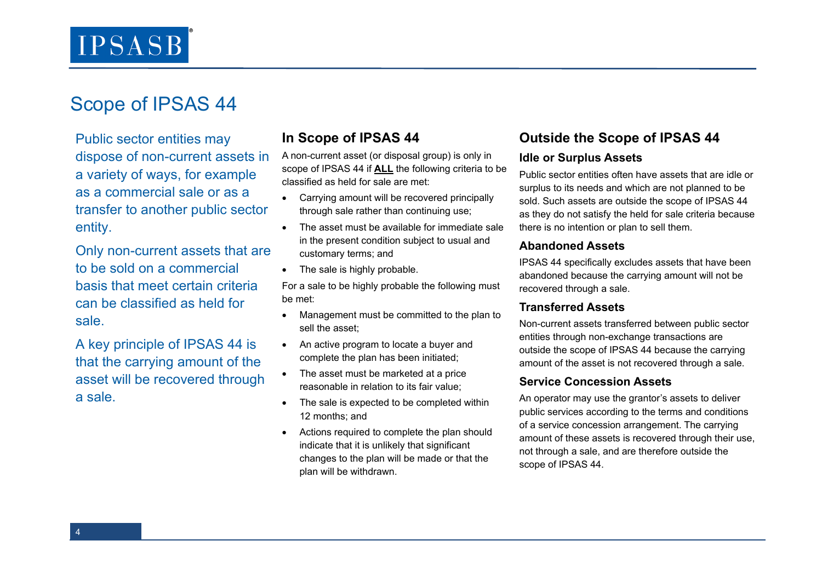# Scope of IPSAS 44

Public sector entities may dispose of non-current assets in a variety of ways, for example as a commercial sale or as a transfer to another public sector entity.

Only non-current assets that are to be sold on a commercial basis that meet certain criteria can be classified as held for sale.

A key principle of IPSAS 44 is that the carrying amount of the asset will be recovered through a sale.

# **In Scope of IPSAS 44**

A non-current asset (or disposal group) is only in scope of IPSAS 44 if **ALL** the following criteria to be classified as held for sale are met:

- Carrying amount will be recovered principally through sale rather than continuing use;
- The asset must be available for immediate sale in the present condition subject to usual and customary terms; and
- The sale is highly probable.

For a sale to be highly probable the following must be met:

- Management must be committed to the plan to sell the asset;
- An active program to locate a buyer and complete the plan has been initiated;
- The asset must be marketed at a price reasonable in relation to its fair value;
- The sale is expected to be completed within 12 months; and
- Actions required to complete the plan should indicate that it is unlikely that significant changes to the plan will be made or that the plan will be withdrawn.

# **Outside the Scope of IPSAS 44**

#### **Idle or Surplus Assets**

Public sector entities often have assets that are idle or surplus to its needs and which are not planned to be sold. Such assets are outside the scope of IPSAS 44 as they do not satisfy the held for sale criteria because there is no intention or plan to sell them.

#### **Abandoned Assets**

IPSAS 44 specifically excludes assets that have been abandoned because the carrying amount will not be recovered through a sale.

#### **Transferred Assets**

Non-current assets transferred between public sector entities through non-exchange transactions are outside the scope of IPSAS 44 because the carrying amount of the asset is not recovered through a sale.

#### **Service Concession Assets**

An operator may use the grantor's assets to deliver public services according to the terms and conditions of a service concession arrangement. The carrying amount of these assets is recovered through their use, not through a sale, and are therefore outside the scope of IPSAS 44.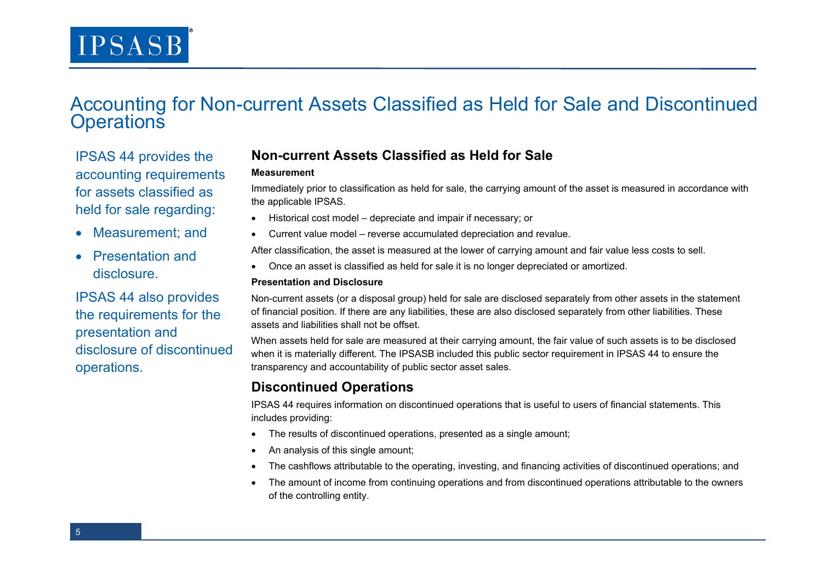# **IPSASB**

# Accounting for Non-current Assets Classified as Held for Sale and Discontinued **Operations**

IPSAS 44 provides the accounting requirements for assets classified as held for sale regarding:

- Measurement; and
- Presentation and disclosure.

IPSAS 44 also provides the requirements for the presentation and disclosure of discontinued operations.

## **Non-current Assets Classified as Held for Sale**

#### **Measurement**

Immediately prior to classification as held for sale, the carrying amount of the asset is measured in accordance with the applicable IPSAS.

- Historical cost model depreciate and impair if necessary; or
- Current value model reverse accumulated depreciation and revalue.

After classification, the asset is measured at the lower of carrying amount and fair value less costs to sell.

• Once an asset is classified as held for sale it is no longer depreciated or amortized.

#### **Presentation and Disclosure**

Non-current assets (or a disposal group) held for sale are disclosed separately from other assets in the statement of financial position. If there are any liabilities, these are also disclosed separately from other liabilities. These assets and liabilities shall not be offset.

When assets held for sale are measured at their carrying amount, the fair value of such assets is to be disclosed when it is materially different. The IPSASB included this public sector requirement in IPSAS 44 to ensure the transparency and accountability of public sector asset sales.

## **Discontinued Operations**

IPSAS 44 requires information on discontinued operations that is useful to users of financial statements. This includes providing:

- The results of discontinued operations, presented as a single amount;
- An analysis of this single amount;
- The cashflows attributable to the operating, investing, and financing activities of discontinued operations; and
- The amount of income from continuing operations and from discontinued operations attributable to the owners of the controlling entity.